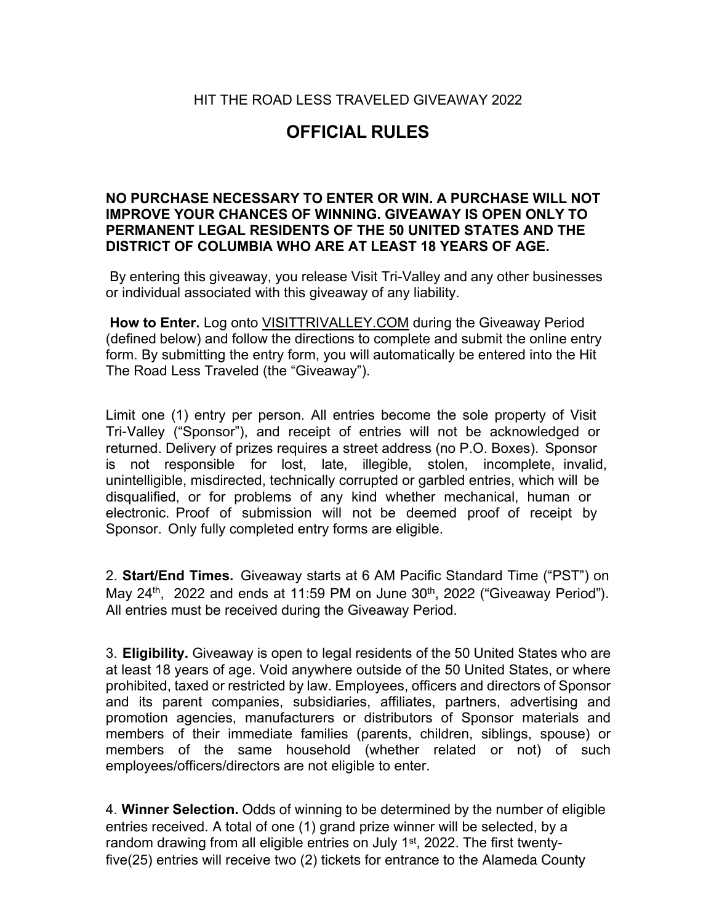HIT THE ROAD LESS TRAVELED GIVEAWAY 2022

## **OFFICIAL RULES**

## **NO PURCHASE NECESSARY TO ENTER OR WIN. A PURCHASE WILL NOT IMPROVE YOUR CHANCES OF WINNING. GIVEAWAY IS OPEN ONLY TO PERMANENT LEGAL RESIDENTS OF THE 50 UNITED STATES AND THE DISTRICT OF COLUMBIA WHO ARE AT LEAST 18 YEARS OF AGE.**

By entering this giveaway, you release Visit Tri-Valley and any other businesses or individual associated with this giveaway of any liability.

**How to Enter.** Log onto VISITTRIVALLEY.COM during the Giveaway Period (defined below) and follow the directions to complete and submit the online entry form. By submitting the entry form, you will automatically be entered into the Hit The Road Less Traveled (the "Giveaway").

Limit one (1) entry per person. All entries become the sole property of Visit Tri-Valley ("Sponsor"), and receipt of entries will not be acknowledged or returned. Delivery of prizes requires a street address (no P.O. Boxes). Sponsor is not responsible for lost, late, illegible, stolen, incomplete, invalid, unintelligible, misdirected, technically corrupted or garbled entries, which will be disqualified, or for problems of any kind whether mechanical, human or electronic. Proof of submission will not be deemed proof of receipt by Sponsor. Only fully completed entry forms are eligible.

2. **Start/End Times.** Giveaway starts at 6 AM Pacific Standard Time ("PST") on May 24<sup>th</sup>, 2022 and ends at 11:59 PM on June 30<sup>th</sup>, 2022 ("Giveaway Period"). All entries must be received during the Giveaway Period.

3. **Eligibility.** Giveaway is open to legal residents of the 50 United States who are at least 18 years of age. Void anywhere outside of the 50 United States, or where prohibited, taxed or restricted by law. Employees, officers and directors of Sponsor and its parent companies, subsidiaries, affiliates, partners, advertising and promotion agencies, manufacturers or distributors of Sponsor materials and members of their immediate families (parents, children, siblings, spouse) or members of the same household (whether related or not) of such employees/officers/directors are not eligible to enter.

4. **Winner Selection.** Odds of winning to be determined by the number of eligible entries received. A total of one (1) grand prize winner will be selected, by a random drawing from all eligible entries on July 1<sup>st</sup>, 2022. The first twentyfive(25) entries will receive two (2) tickets for entrance to the Alameda County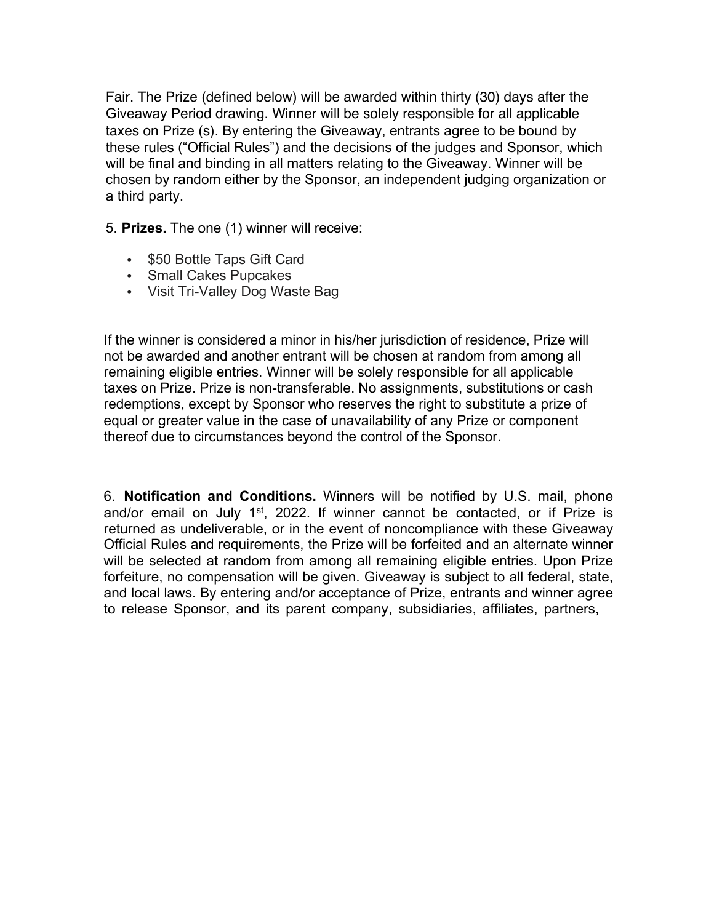Fair. The Prize (defined below) will be awarded within thirty (30) days after the Giveaway Period drawing. Winner will be solely responsible for all applicable taxes on Prize (s). By entering the Giveaway, entrants agree to be bound by these rules ("Official Rules") and the decisions of the judges and Sponsor, which will be final and binding in all matters relating to the Giveaway. Winner will be chosen by random either by the Sponsor, an independent judging organization or a third party.

5. **Prizes.** The one (1) winner will receive:

- \$50 Bottle Taps Gift Card
- Small Cakes Pupcakes
- Visit Tri-Valley Dog Waste Bag

If the winner is considered a minor in his/her jurisdiction of residence, Prize will not be awarded and another entrant will be chosen at random from among all remaining eligible entries. Winner will be solely responsible for all applicable taxes on Prize. Prize is non-transferable. No assignments, substitutions or cash redemptions, except by Sponsor who reserves the right to substitute a prize of equal or greater value in the case of unavailability of any Prize or component thereof due to circumstances beyond the control of the Sponsor.

6. **Notification and Conditions.** Winners will be notified by U.S. mail, phone and/or email on July 1st, 2022. If winner cannot be contacted, or if Prize is returned as undeliverable, or in the event of noncompliance with these Giveaway Official Rules and requirements, the Prize will be forfeited and an alternate winner will be selected at random from among all remaining eligible entries. Upon Prize forfeiture, no compensation will be given. Giveaway is subject to all federal, state, and local laws. By entering and/or acceptance of Prize, entrants and winner agree to release Sponsor, and its parent company, subsidiaries, affiliates, partners,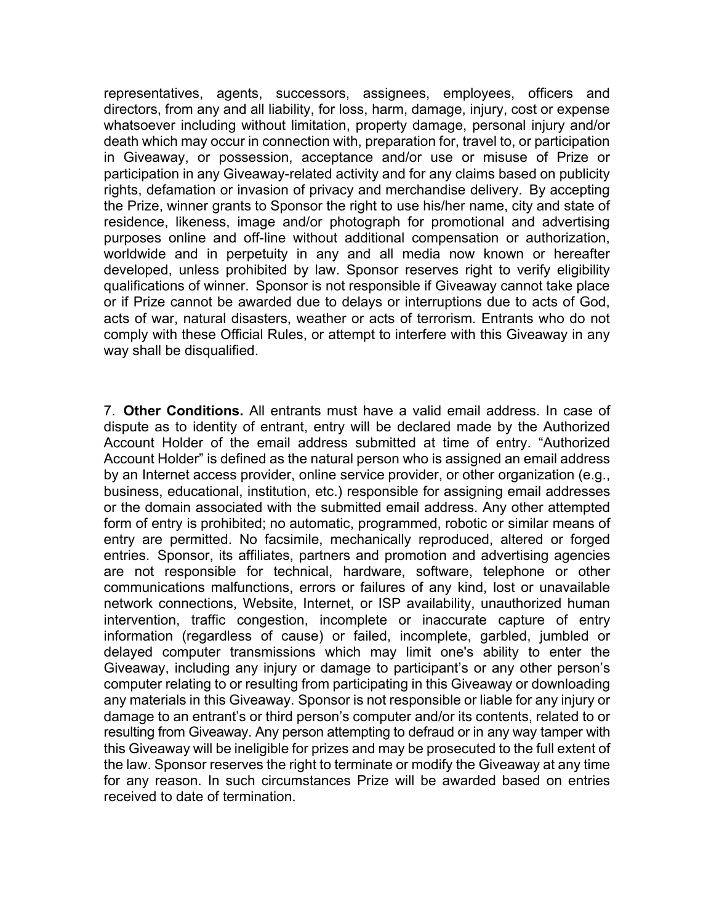representatives, agents, successors, assignees, employees, officers and directors, from any and all liability, for loss, harm, damage, injury, cost or expense whatsoever including without limitation, property damage, personal injury and/or death which may occur in connection with, preparation for, travel to, or participation in Giveaway, or possession, acceptance and/or use or misuse of Prize or participation in any Giveaway-related activity and for any claims based on publicity rights, defamation or invasion of privacy and merchandise delivery. By accepting the Prize, winner grants to Sponsor the right to use his/her name, city and state of residence, likeness, image and/or photograph for promotional and advertising purposes online and off-line without additional compensation or authorization, worldwide and in perpetuity in any and all media now known or hereafter developed, unless prohibited by law. Sponsor reserves right to verify eligibility qualifications of winner. Sponsor is not responsible if Giveaway cannot take place or if Prize cannot be awarded due to delays or interruptions due to acts of God, acts of war, natural disasters, weather or acts of terrorism. Entrants who do not comply with these Official Rules, or attempt to interfere with this Giveaway in any way shall be disqualified.

7. **Other Conditions.** All entrants must have a valid email address. In case of dispute as to identity of entrant, entry will be declared made by the Authorized Account Holder of the email address submitted at time of entry. "Authorized Account Holder" is defined as the natural person who is assigned an email address by an Internet access provider, online service provider, or other organization (e.g., business, educational, institution, etc.) responsible for assigning email addresses or the domain associated with the submitted email address. Any other attempted form of entry is prohibited; no automatic, programmed, robotic or similar means of entry are permitted. No facsimile, mechanically reproduced, altered or forged entries. Sponsor, its affiliates, partners and promotion and advertising agencies are not responsible for technical, hardware, software, telephone or other communications malfunctions, errors or failures of any kind, lost or unavailable network connections, Website, Internet, or ISP availability, unauthorized human intervention, traffic congestion, incomplete or inaccurate capture of entry information (regardless of cause) or failed, incomplete, garbled, jumbled or delayed computer transmissions which may limit one's ability to enter the Giveaway, including any injury or damage to participant's or any other person's computer relating to or resulting from participating in this Giveaway or downloading any materials in this Giveaway. Sponsor is not responsible or liable for any injury or damage to an entrant's or third person's computer and/or its contents, related to or resulting from Giveaway. Any person attempting to defraud or in any way tamper with this Giveaway will be ineligible for prizes and may be prosecuted to the full extent of the law. Sponsor reserves the right to terminate or modify the Giveaway at any time for any reason. In such circumstances Prize will be awarded based on entries received to date of termination.